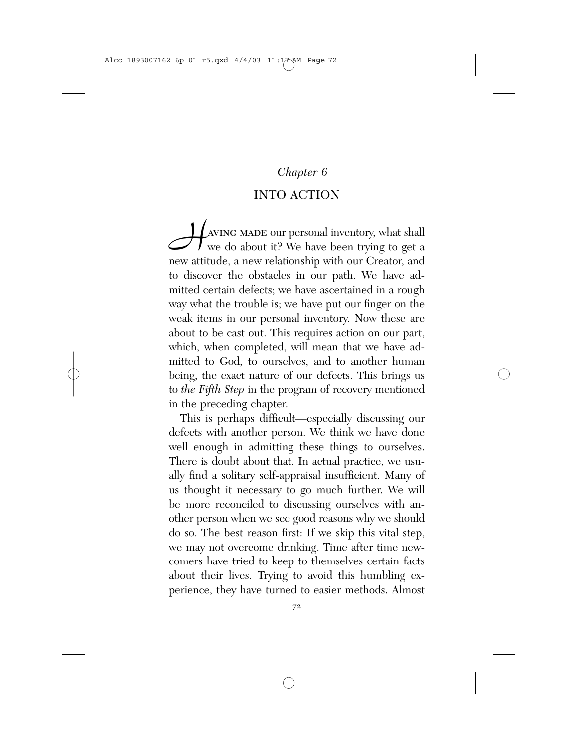## *Chapter 6*

## INTO ACTION

*H*aving made our personal inventory, what shall we do about it? We have been trying to get a new attitude, a new relationship with our Creator, and to discover the obstacles in our path. We have admitted certain defects; we have ascertained in a rough way what the trouble is; we have put our finger on the weak items in our personal inventory. Now these are about to be cast out. This requires action on our part, which, when completed, will mean that we have admitted to God, to ourselves, and to another human being, the exact nature of our defects. This brings us to *the Fifth Step* in the program of recovery mentioned in the preceding chapter.

This is perhaps difficult—especially discussing our defects with another person. We think we have done well enough in admitting these things to ourselves. There is doubt about that. In actual practice, we usually find a solitary self-appraisal insufficient. Many of us thought it necessary to go much further. We will be more reconciled to discussing ourselves with another person when we see good reasons why we should do so. The best reason first: If we skip this vital step, we may not overcome drinking. Time after time newcomers have tried to keep to themselves certain facts about their lives. Trying to avoid this humbling experience, they have turned to easier methods. Almost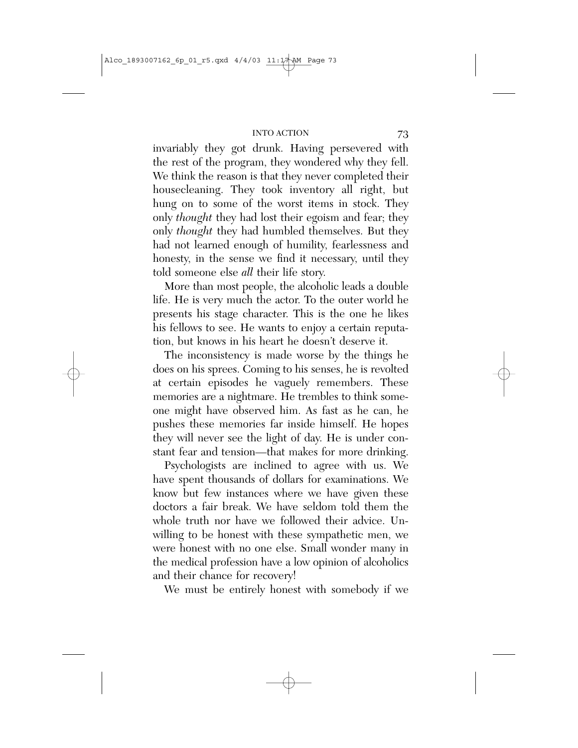invariably they got drunk. Having persevered with the rest of the program, they wondered why they fell. We think the reason is that they never completed their housecleaning. They took inventory all right, but hung on to some of the worst items in stock. They only *thought* they had lost their egoism and fear; they only *thought* they had humbled themselves. But they had not learned enough of humility, fearlessness and honesty, in the sense we find it necessary, until they told someone else *all* their life story.

More than most people, the alcoholic leads a double life. He is very much the actor. To the outer world he presents his stage character. This is the one he likes his fellows to see. He wants to enjoy a certain reputation, but knows in his heart he doesn't deserve it.

The inconsistency is made worse by the things he does on his sprees. Coming to his senses, he is revolted at certain episodes he vaguely remembers. These memories are a nightmare. He trembles to think someone might have observed him. As fast as he can, he pushes these memories far inside himself. He hopes they will never see the light of day. He is under constant fear and tension—that makes for more drinking.

Psychologists are inclined to agree with us. We have spent thousands of dollars for examinations. We know but few instances where we have given these doctors a fair break. We have seldom told them the whole truth nor have we followed their advice. Unwilling to be honest with these sympathetic men, we were honest with no one else. Small wonder many in the medical profession have a low opinion of alcoholics and their chance for recovery!

We must be entirely honest with somebody if we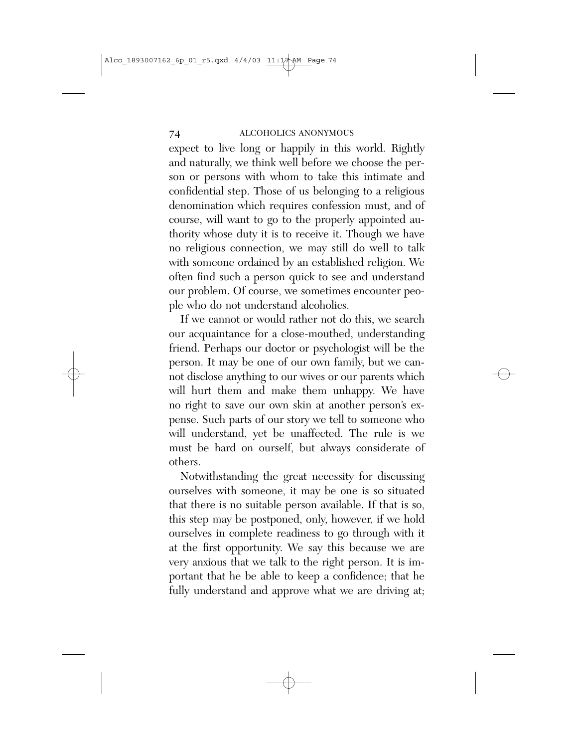expect to live long or happily in this world. Rightly and naturally, we think well before we choose the person or persons with whom to take this intimate and confidential step. Those of us belonging to a religious denomination which requires confession must, and of course, will want to go to the properly appointed authority whose duty it is to receive it. Though we have no religious connection, we may still do well to talk with someone ordained by an established religion. We often find such a person quick to see and understand our problem. Of course, we sometimes encounter people who do not understand alcoholics.

If we cannot or would rather not do this, we search our acquaintance for a close-mouthed, understanding friend. Perhaps our doctor or psychologist will be the person. It may be one of our own family, but we cannot disclose anything to our wives or our parents which will hurt them and make them unhappy. We have no right to save our own skin at another person's expense. Such parts of our story we tell to someone who will understand, yet be unaffected. The rule is we must be hard on ourself, but always considerate of others.

Notwithstanding the great necessity for discussing ourselves with someone, it may be one is so situated that there is no suitable person available. If that is so, this step may be postponed, only, however, if we hold ourselves in complete readiness to go through with it at the first opportunity. We say this because we are very anxious that we talk to the right person. It is important that he be able to keep a confidence; that he fully understand and approve what we are driving at;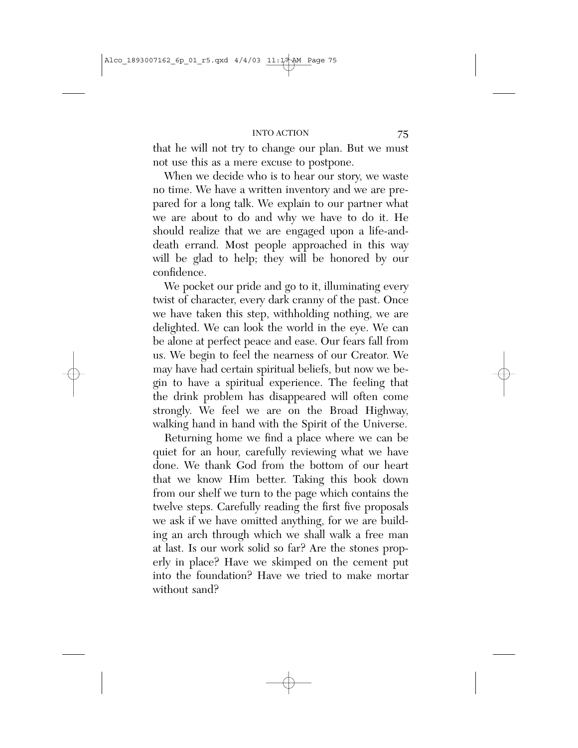that he will not try to change our plan. But we must not use this as a mere excuse to postpone.

When we decide who is to hear our story, we waste no time. We have a written inventory and we are prepared for a long talk. We explain to our partner what we are about to do and why we have to do it. He should realize that we are engaged upon a life-anddeath errand. Most people approached in this way will be glad to help; they will be honored by our confidence.

We pocket our pride and go to it, illuminating every twist of character, every dark cranny of the past. Once we have taken this step, withholding nothing, we are delighted. We can look the world in the eye. We can be alone at perfect peace and ease. Our fears fall from us. We begin to feel the nearness of our Creator. We may have had certain spiritual beliefs, but now we begin to have a spiritual experience. The feeling that the drink problem has disappeared will often come strongly. We feel we are on the Broad Highway, walking hand in hand with the Spirit of the Universe.

Returning home we find a place where we can be quiet for an hour, carefully reviewing what we have done. We thank God from the bottom of our heart that we know Him better. Taking this book down from our shelf we turn to the page which contains the twelve steps. Carefully reading the first five proposals we ask if we have omitted anything, for we are building an arch through which we shall walk a free man at last. Is our work solid so far? Are the stones properly in place? Have we skimped on the cement put into the foundation? Have we tried to make mortar without sand?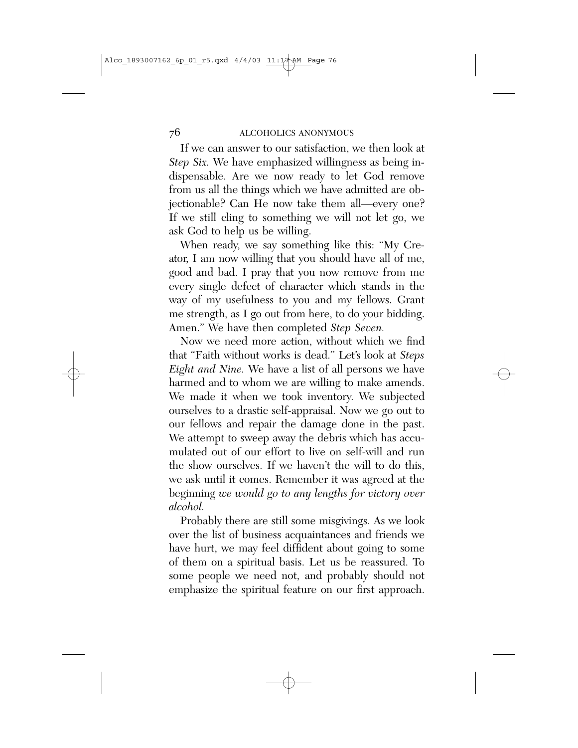If we can answer to our satisfaction, we then look at *Step Six.* We have emphasized willingness as being indispensable. Are we now ready to let God remove from us all the things which we have admitted are objectionable? Can He now take them all—every one? If we still cling to something we will not let go, we ask God to help us be willing.

When ready, we say something like this: "My Creator, I am now willing that you should have all of me, good and bad. I pray that you now remove from me every single defect of character which stands in the way of my usefulness to you and my fellows. Grant me strength, as I go out from here, to do your bidding. Amen.'' We have then completed *Step Seven.* 

Now we need more action, without which we find that "Faith without works is dead.'' Let's look at *Steps Eight and Nine.* We have a list of all persons we have harmed and to whom we are willing to make amends. We made it when we took inventory. We subjected ourselves to a drastic self-appraisal. Now we go out to our fellows and repair the damage done in the past. We attempt to sweep away the debris which has accumulated out of our effort to live on self-will and run the show ourselves. If we haven't the will to do this, we ask until it comes. Remember it was agreed at the beginning *we would go to any lengths for victory over alcohol.* 

Probably there are still some misgivings. As we look over the list of business acquaintances and friends we have hurt, we may feel diffident about going to some of them on a spiritual basis. Let us be reassured. To some people we need not, and probably should not emphasize the spiritual feature on our first approach.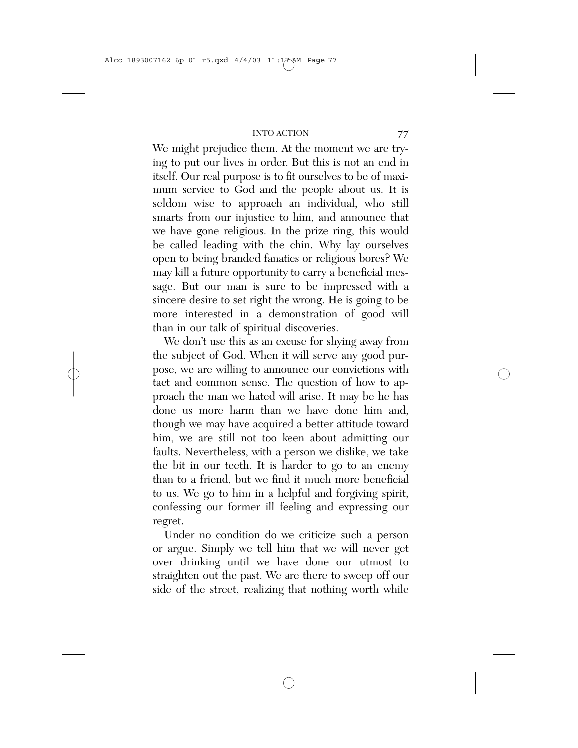We might prejudice them. At the moment we are trying to put our lives in order. But this is not an end in itself. Our real purpose is to fit ourselves to be of maximum service to God and the people about us. It is seldom wise to approach an individual, who still smarts from our injustice to him, and announce that we have gone religious. In the prize ring, this would be called leading with the chin. Why lay ourselves open to being branded fanatics or religious bores? We may kill a future opportunity to carry a beneficial message. But our man is sure to be impressed with a sincere desire to set right the wrong. He is going to be more interested in a demonstration of good will than in our talk of spiritual discoveries.

We don't use this as an excuse for shying away from the subject of God. When it will serve any good purpose, we are willing to announce our convictions with tact and common sense. The question of how to approach the man we hated will arise. It may be he has done us more harm than we have done him and, though we may have acquired a better attitude toward him, we are still not too keen about admitting our faults. Nevertheless, with a person we dislike, we take the bit in our teeth. It is harder to go to an enemy than to a friend, but we find it much more beneficial to us. We go to him in a helpful and forgiving spirit, confessing our former ill feeling and expressing our regret.

Under no condition do we criticize such a person or argue. Simply we tell him that we will never get over drinking until we have done our utmost to straighten out the past. We are there to sweep off our side of the street, realizing that nothing worth while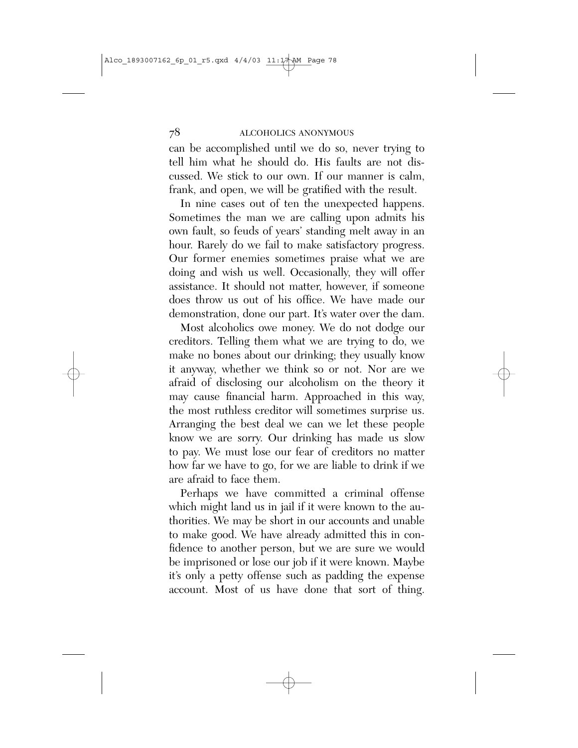can be accomplished until we do so, never trying to tell him what he should do. His faults are not discussed. We stick to our own. If our manner is calm, frank, and open, we will be gratified with the result.

In nine cases out of ten the unexpected happens. Sometimes the man we are calling upon admits his own fault, so feuds of years' standing melt away in an hour. Rarely do we fail to make satisfactory progress. Our former enemies sometimes praise what we are doing and wish us well. Occasionally, they will offer assistance. It should not matter, however, if someone does throw us out of his office. We have made our demonstration, done our part. It's water over the dam.

Most alcoholics owe money. We do not dodge our creditors. Telling them what we are trying to do, we make no bones about our drinking; they usually know it anyway, whether we think so or not. Nor are we afraid of disclosing our alcoholism on the theory it may cause financial harm. Approached in this way, the most ruthless creditor will sometimes surprise us. Arranging the best deal we can we let these people know we are sorry. Our drinking has made us slow to pay. We must lose our fear of creditors no matter how far we have to go, for we are liable to drink if we are afraid to face them.

Perhaps we have committed a criminal offense which might land us in jail if it were known to the authorities. We may be short in our accounts and unable to make good. We have already admitted this in confidence to another person, but we are sure we would be imprisoned or lose our job if it were known. Maybe it's only a petty offense such as padding the expense account. Most of us have done that sort of thing.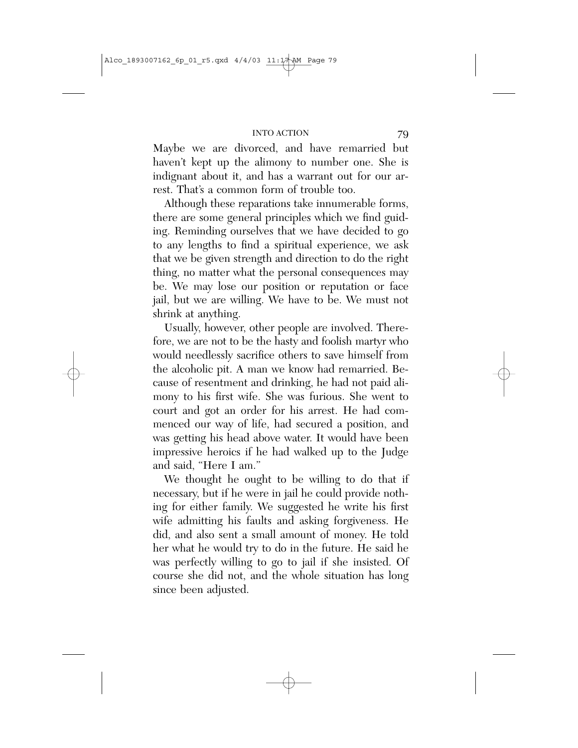Maybe we are divorced, and have remarried but haven't kept up the alimony to number one. She is indignant about it, and has a warrant out for our arrest. That's a common form of trouble too.

Although these reparations take innumerable forms, there are some general principles which we find guiding. Reminding ourselves that we have decided to go to any lengths to find a spiritual experience, we ask that we be given strength and direction to do the right thing, no matter what the personal consequences may be. We may lose our position or reputation or face jail, but we are willing. We have to be. We must not shrink at anything.

Usually, however, other people are involved. Therefore, we are not to be the hasty and foolish martyr who would needlessly sacrifice others to save himself from the alcoholic pit. A man we know had remarried. Because of resentment and drinking, he had not paid alimony to his first wife. She was furious. She went to court and got an order for his arrest. He had commenced our way of life, had secured a position, and was getting his head above water. It would have been impressive heroics if he had walked up to the Judge and said, "Here I am.''

We thought he ought to be willing to do that if necessary, but if he were in jail he could provide nothing for either family. We suggested he write his first wife admitting his faults and asking forgiveness. He did, and also sent a small amount of money. He told her what he would try to do in the future. He said he was perfectly willing to go to jail if she insisted. Of course she did not, and the whole situation has long since been adjusted.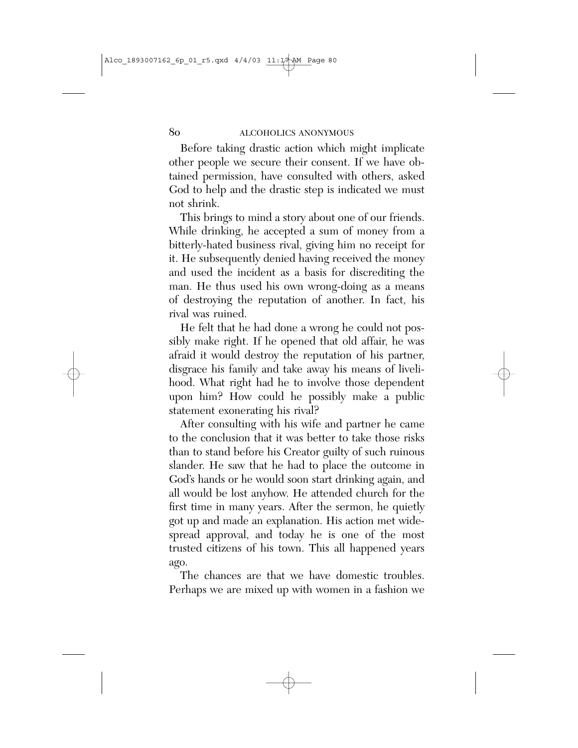Before taking drastic action which might implicate other people we secure their consent. If we have obtained permission, have consulted with others, asked God to help and the drastic step is indicated we must not shrink.

This brings to mind a story about one of our friends. While drinking, he accepted a sum of money from a bitterly-hated business rival, giving him no receipt for it. He subsequently denied having received the money and used the incident as a basis for discrediting the man. He thus used his own wrong-doing as a means of destroying the reputation of another. In fact, his rival was ruined.

He felt that he had done a wrong he could not possibly make right. If he opened that old affair, he was afraid it would destroy the reputation of his partner, disgrace his family and take away his means of livelihood. What right had he to involve those dependent upon him? How could he possibly make a public statement exonerating his rival?

After consulting with his wife and partner he came to the conclusion that it was better to take those risks than to stand before his Creator guilty of such ruinous slander. He saw that he had to place the outcome in God's hands or he would soon start drinking again, and all would be lost anyhow. He attended church for the first time in many years. After the sermon, he quietly got up and made an explanation. His action met widespread approval, and today he is one of the most trusted citizens of his town. This all happened years ago.

The chances are that we have domestic troubles. Perhaps we are mixed up with women in a fashion we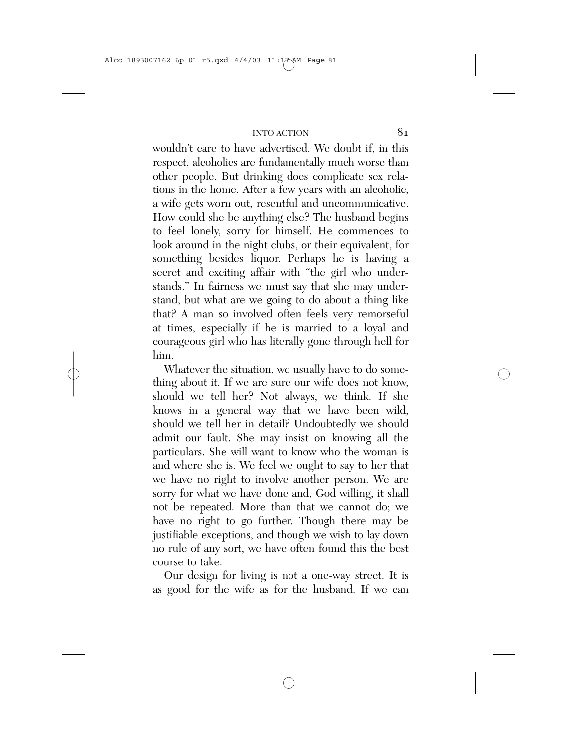wouldn't care to have advertised. We doubt if, in this respect, alcoholics are fundamentally much worse than other people. But drinking does complicate sex relations in the home. After a few years with an alcoholic, a wife gets worn out, resentful and uncommunicative. How could she be anything else? The husband begins to feel lonely, sorry for himself. He commences to look around in the night clubs, or their equivalent, for something besides liquor. Perhaps he is having a secret and exciting affair with "the girl who understands.'' In fairness we must say that she may understand, but what are we going to do about a thing like that? A man so involved often feels very remorseful at times, especially if he is married to a loyal and courageous girl who has literally gone through hell for him.

Whatever the situation, we usually have to do something about it. If we are sure our wife does not know, should we tell her? Not always, we think. If she knows in a general way that we have been wild, should we tell her in detail? Undoubtedly we should admit our fault. She may insist on knowing all the particulars. She will want to know who the woman is and where she is. We feel we ought to say to her that we have no right to involve another person. We are sorry for what we have done and, God willing, it shall not be repeated. More than that we cannot do; we have no right to go further. Though there may be justifiable exceptions, and though we wish to lay down no rule of any sort, we have often found this the best course to take.

Our design for living is not a one-way street. It is as good for the wife as for the husband. If we can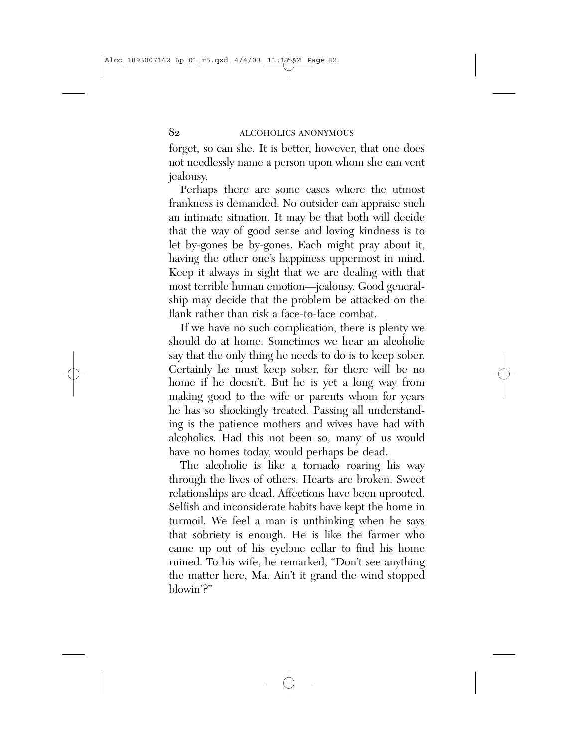forget, so can she. It is better, however, that one does not needlessly name a person upon whom she can vent jealousy.

Perhaps there are some cases where the utmost frankness is demanded. No outsider can appraise such an intimate situation. It may be that both will decide that the way of good sense and loving kindness is to let by-gones be by-gones. Each might pray about it, having the other one's happiness uppermost in mind. Keep it always in sight that we are dealing with that most terrible human emotion—jealousy. Good generalship may decide that the problem be attacked on the flank rather than risk a face-to-face combat.

If we have no such complication, there is plenty we should do at home. Sometimes we hear an alcoholic say that the only thing he needs to do is to keep sober. Certainly he must keep sober, for there will be no home if he doesn't. But he is yet a long way from making good to the wife or parents whom for years he has so shockingly treated. Passing all understanding is the patience mothers and wives have had with alcoholics. Had this not been so, many of us would have no homes today, would perhaps be dead.

The alcoholic is like a tornado roaring his way through the lives of others. Hearts are broken. Sweet relationships are dead. Affections have been uprooted. Selfish and inconsiderate habits have kept the home in turmoil. We feel a man is unthinking when he says that sobriety is enough. He is like the farmer who came up out of his cyclone cellar to find his home ruined. To his wife, he remarked, "Don't see anything the matter here, Ma. Ain't it grand the wind stopped blowin'?''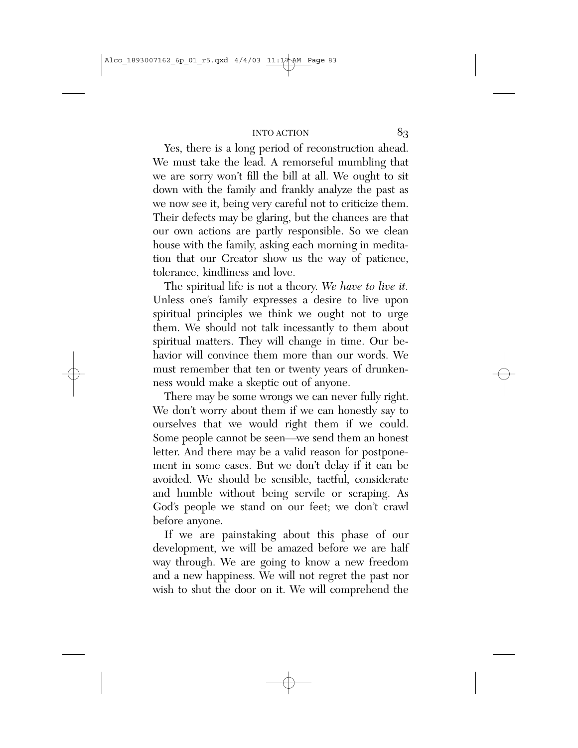Yes, there is a long period of reconstruction ahead. We must take the lead. A remorseful mumbling that we are sorry won't fill the bill at all. We ought to sit down with the family and frankly analyze the past as we now see it, being very careful not to criticize them. Their defects may be glaring, but the chances are that our own actions are partly responsible. So we clean house with the family, asking each morning in meditation that our Creator show us the way of patience, tolerance, kindliness and love.

The spiritual life is not a theory. *We have to live it.*  Unless one's family expresses a desire to live upon spiritual principles we think we ought not to urge them. We should not talk incessantly to them about spiritual matters. They will change in time. Our behavior will convince them more than our words. We must remember that ten or twenty years of drunkenness would make a skeptic out of anyone.

There may be some wrongs we can never fully right. We don't worry about them if we can honestly say to ourselves that we would right them if we could. Some people cannot be seen—we send them an honest letter. And there may be a valid reason for postponement in some cases. But we don't delay if it can be avoided. We should be sensible, tactful, considerate and humble without being servile or scraping. As God's people we stand on our feet; we don't crawl before anyone.

If we are painstaking about this phase of our development, we will be amazed before we are half way through. We are going to know a new freedom and a new happiness. We will not regret the past nor wish to shut the door on it. We will comprehend the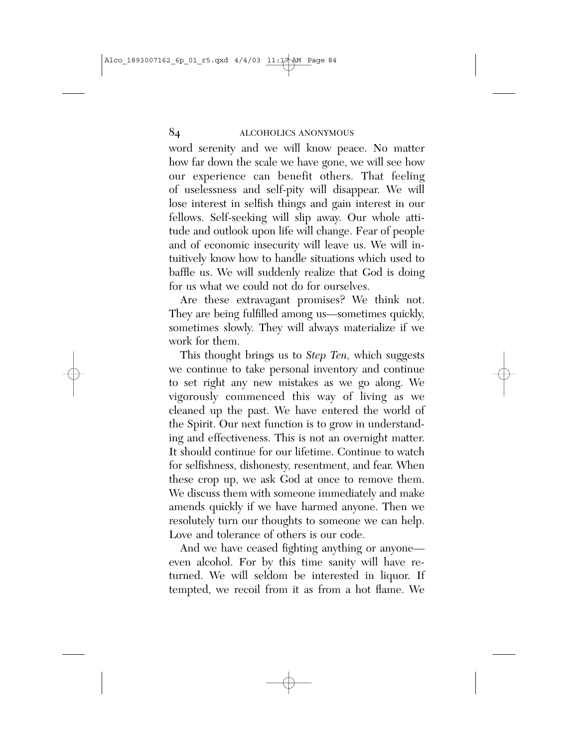word serenity and we will know peace. No matter how far down the scale we have gone, we will see how our experience can benefit others. That feeling of uselessness and self-pity will disappear. We will lose interest in selfish things and gain interest in our fellows. Self-seeking will slip away. Our whole attitude and outlook upon life will change. Fear of people and of economic insecurity will leave us. We will intuitively know how to handle situations which used to baffle us. We will suddenly realize that God is doing for us what we could not do for ourselves.

Are these extravagant promises? We think not. They are being fulfilled among us—sometimes quickly, sometimes slowly. They will always materialize if we work for them.

This thought brings us to *Step Ten,* which suggests we continue to take personal inventory and continue to set right any new mistakes as we go along. We vigorously commenced this way of living as we cleaned up the past. We have entered the world of the Spirit. Our next function is to grow in understanding and effectiveness. This is not an overnight matter. It should continue for our lifetime. Continue to watch for selfishness, dishonesty, resentment, and fear. When these crop up, we ask God at once to remove them. We discuss them with someone immediately and make amends quickly if we have harmed anyone. Then we resolutely turn our thoughts to someone we can help. Love and tolerance of others is our code.

And we have ceased fighting anything or anyone even alcohol. For by this time sanity will have returned. We will seldom be interested in liquor. If tempted, we recoil from it as from a hot flame. We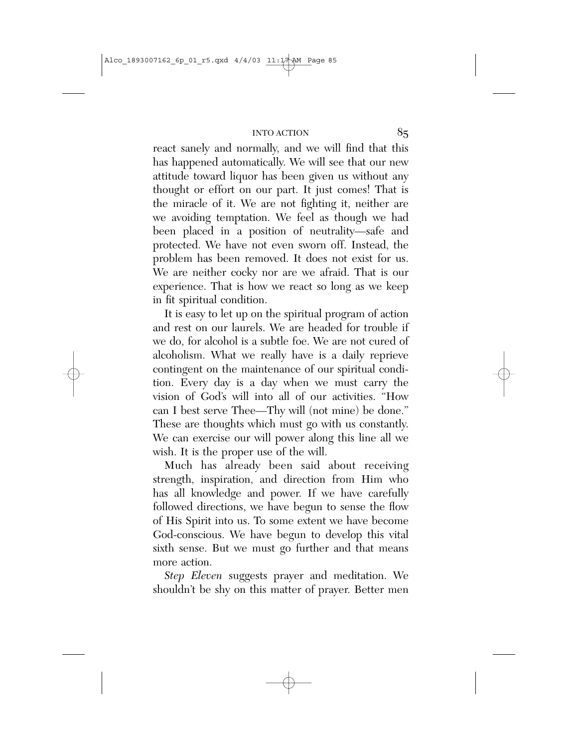react sanely and normally, and we will find that this has happened automatically. We will see that our new attitude toward liquor has been given us without any thought or effort on our part. It just comes! That is the miracle of it. We are not fighting it, neither are we avoiding temptation. We feel as though we had been placed in a position of neutrality—safe and protected. We have not even sworn off. Instead, the problem has been removed. It does not exist for us. We are neither cocky nor are we afraid. That is our experience. That is how we react so long as we keep in fit spiritual condition.

It is easy to let up on the spiritual program of action and rest on our laurels. We are headed for trouble if we do, for alcohol is a subtle foe. We are not cured of alcoholism. What we really have is a daily reprieve contingent on the maintenance of our spiritual condition. Every day is a day when we must carry the vision of God's will into all of our activities. "How can I best serve Thee—Thy will (not mine) be done.'' These are thoughts which must go with us constantly. We can exercise our will power along this line all we wish. It is the proper use of the will.

Much has already been said about receiving strength, inspiration, and direction from Him who has all knowledge and power. If we have carefully followed directions, we have begun to sense the flow of His Spirit into us. To some extent we have become God-conscious. We have begun to develop this vital sixth sense. But we must go further and that means more action.

*Step Eleven* suggests prayer and meditation. We shouldn't be shy on this matter of prayer. Better men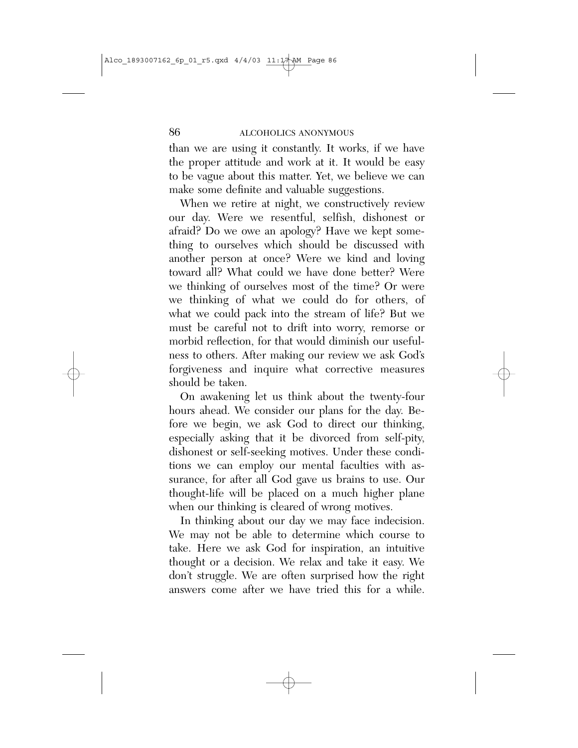than we are using it constantly. It works, if we have the proper attitude and work at it. It would be easy to be vague about this matter. Yet, we believe we can make some definite and valuable suggestions.

When we retire at night, we constructively review our day. Were we resentful, selfish, dishonest or afraid? Do we owe an apology? Have we kept something to ourselves which should be discussed with another person at once? Were we kind and loving toward all? What could we have done better? Were we thinking of ourselves most of the time? Or were we thinking of what we could do for others, of what we could pack into the stream of life? But we must be careful not to drift into worry, remorse or morbid reflection, for that would diminish our usefulness to others. After making our review we ask God's forgiveness and inquire what corrective measures should be taken.

On awakening let us think about the twenty-four hours ahead. We consider our plans for the day. Before we begin, we ask God to direct our thinking, especially asking that it be divorced from self-pity, dishonest or self-seeking motives. Under these conditions we can employ our mental faculties with assurance, for after all God gave us brains to use. Our thought-life will be placed on a much higher plane when our thinking is cleared of wrong motives.

In thinking about our day we may face indecision. We may not be able to determine which course to take. Here we ask God for inspiration, an intuitive thought or a decision. We relax and take it easy. We don't struggle. We are often surprised how the right answers come after we have tried this for a while.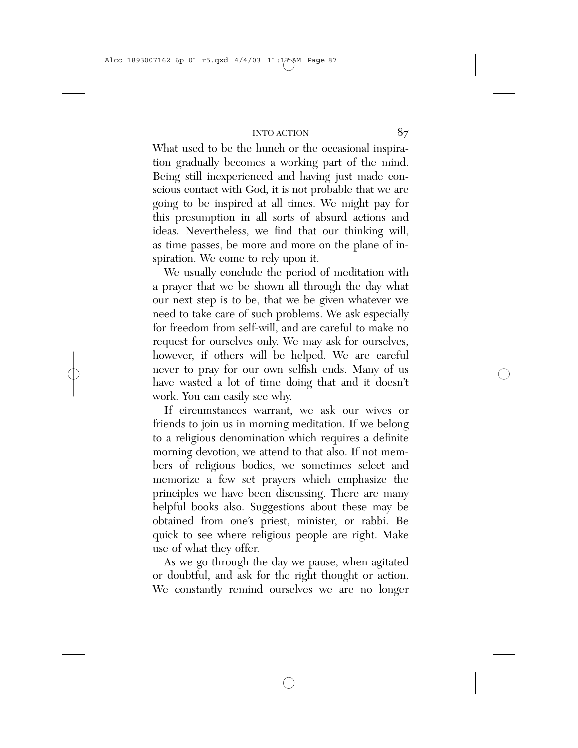What used to be the hunch or the occasional inspiration gradually becomes a working part of the mind. Being still inexperienced and having just made conscious contact with God, it is not probable that we are going to be inspired at all times. We might pay for this presumption in all sorts of absurd actions and ideas. Nevertheless, we find that our thinking will, as time passes, be more and more on the plane of inspiration. We come to rely upon it.

We usually conclude the period of meditation with a prayer that we be shown all through the day what our next step is to be, that we be given whatever we need to take care of such problems. We ask especially for freedom from self-will, and are careful to make no request for ourselves only. We may ask for ourselves, however, if others will be helped. We are careful never to pray for our own selfish ends. Many of us have wasted a lot of time doing that and it doesn't work. You can easily see why.

If circumstances warrant, we ask our wives or friends to join us in morning meditation. If we belong to a religious denomination which requires a definite morning devotion, we attend to that also. If not members of religious bodies, we sometimes select and memorize a few set prayers which emphasize the principles we have been discussing. There are many helpful books also. Suggestions about these may be obtained from one's priest, minister, or rabbi. Be quick to see where religious people are right. Make use of what they offer.

As we go through the day we pause, when agitated or doubtful, and ask for the right thought or action. We constantly remind ourselves we are no longer